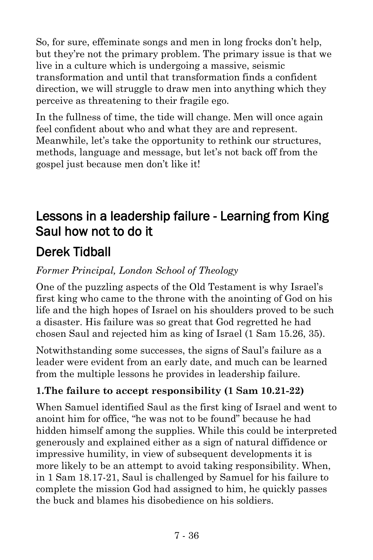So, for sure, effeminate songs and men in long frocks don't help, but they're not the primary problem. The primary issue is that we live in a culture which is undergoing a massive, seismic transformation and until that transformation finds a confident direction, we will struggle to draw men into anything which they perceive as threatening to their fragile ego.

In the fullness of time, the tide will change. Men will once again feel confident about who and what they are and represent. Meanwhile, let's take the opportunity to rethink our structures, methods, language and message, but let's not back off from the gospel just because men don't like it!

# Lessons in a leadership failure - Learning from King Saul how not to do it

# Derek Tidball

*Former Principal, London School of Theology*

One of the puzzling aspects of the Old Testament is why Israel's first king who came to the throne with the anointing of God on his life and the high hopes of Israel on his shoulders proved to be such a disaster. His failure was so great that God regretted he had chosen Saul and rejected him as king of Israel (1 Sam 15.26, 35).

Notwithstanding some successes, the signs of Saul's failure as a leader were evident from an early date, and much can be learned from the multiple lessons he provides in leadership failure.

## **1.The failure to accept responsibility (1 Sam 10.21-22)**

When Samuel identified Saul as the first king of Israel and went to anoint him for office, "he was not to be found" because he had hidden himself among the supplies. While this could be interpreted generously and explained either as a sign of natural diffidence or impressive humility, in view of subsequent developments it is more likely to be an attempt to avoid taking responsibility. When, in 1 Sam 18.17-21, Saul is challenged by Samuel for his failure to complete the mission God had assigned to him, he quickly passes the buck and blames his disobedience on his soldiers.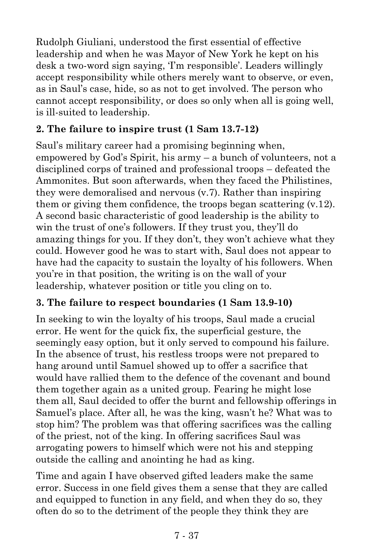Rudolph Giuliani, understood the first essential of effective leadership and when he was Mayor of New York he kept on his desk a two-word sign saying, 'I'm responsible'. Leaders willingly accept responsibility while others merely want to observe, or even, as in Saul's case, hide, so as not to get involved. The person who cannot accept responsibility, or does so only when all is going well, is ill-suited to leadership.

### **2. The failure to inspire trust (1 Sam 13.7-12)**

Saul's military career had a promising beginning when, empowered by God's Spirit, his army – a bunch of volunteers, not a disciplined corps of trained and professional troops – defeated the Ammonites. But soon afterwards, when they faced the Philistines, they were demoralised and nervous (v.7). Rather than inspiring them or giving them confidence, the troops began scattering  $(v, 12)$ . A second basic characteristic of good leadership is the ability to win the trust of one's followers. If they trust you, they'll do amazing things for you. If they don't, they won't achieve what they could. However good he was to start with, Saul does not appear to have had the capacity to sustain the loyalty of his followers. When you're in that position, the writing is on the wall of your leadership, whatever position or title you cling on to.

### **3. The failure to respect boundaries (1 Sam 13.9-10)**

In seeking to win the loyalty of his troops, Saul made a crucial error. He went for the quick fix, the superficial gesture, the seemingly easy option, but it only served to compound his failure. In the absence of trust, his restless troops were not prepared to hang around until Samuel showed up to offer a sacrifice that would have rallied them to the defence of the covenant and bound them together again as a united group. Fearing he might lose them all, Saul decided to offer the burnt and fellowship offerings in Samuel's place. After all, he was the king, wasn't he? What was to stop him? The problem was that offering sacrifices was the calling of the priest, not of the king. In offering sacrifices Saul was arrogating powers to himself which were not his and stepping outside the calling and anointing he had as king.

Time and again I have observed gifted leaders make the same error. Success in one field gives them a sense that they are called and equipped to function in any field, and when they do so, they often do so to the detriment of the people they think they are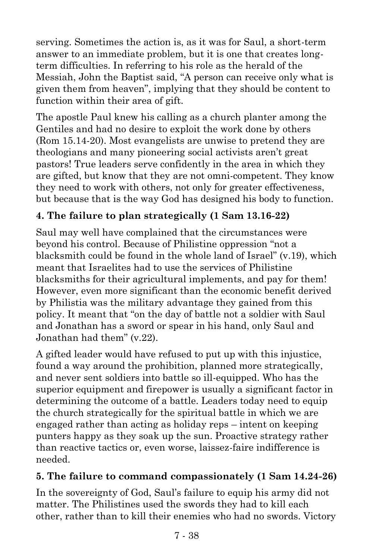serving. Sometimes the action is, as it was for Saul, a short-term answer to an immediate problem, but it is one that creates longterm difficulties. In referring to his role as the herald of the Messiah, John the Baptist said, "A person can receive only what is given them from heaven", implying that they should be content to function within their area of gift.

The apostle Paul knew his calling as a church planter among the Gentiles and had no desire to exploit the work done by others (Rom 15.14-20). Most evangelists are unwise to pretend they are theologians and many pioneering social activists aren't great pastors! True leaders serve confidently in the area in which they are gifted, but know that they are not omni-competent. They know they need to work with others, not only for greater effectiveness, but because that is the way God has designed his body to function.

## **4. The failure to plan strategically (1 Sam 13.16-22)**

Saul may well have complained that the circumstances were beyond his control. Because of Philistine oppression "not a blacksmith could be found in the whole land of Israel" (v.19), which meant that Israelites had to use the services of Philistine blacksmiths for their agricultural implements, and pay for them! However, even more significant than the economic benefit derived by Philistia was the military advantage they gained from this policy. It meant that "on the day of battle not a soldier with Saul and Jonathan has a sword or spear in his hand, only Saul and Jonathan had them" (v.22).

A gifted leader would have refused to put up with this injustice, found a way around the prohibition, planned more strategically, and never sent soldiers into battle so ill-equipped. Who has the superior equipment and firepower is usually a significant factor in determining the outcome of a battle. Leaders today need to equip the church strategically for the spiritual battle in which we are engaged rather than acting as holiday reps – intent on keeping punters happy as they soak up the sun. Proactive strategy rather than reactive tactics or, even worse, laissez-faire indifference is needed.

#### **5. The failure to command compassionately (1 Sam 14.24-26)**

In the sovereignty of God, Saul's failure to equip his army did not matter. The Philistines used the swords they had to kill each other, rather than to kill their enemies who had no swords. Victory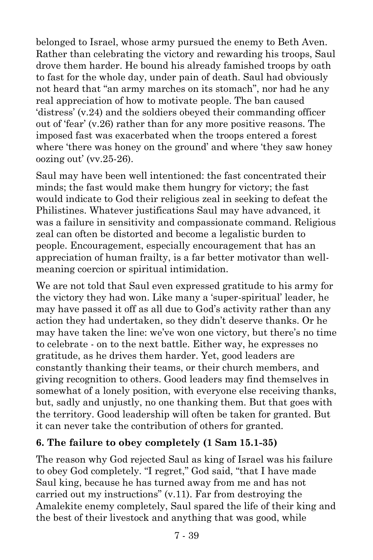belonged to Israel, whose army pursued the enemy to Beth Aven. Rather than celebrating the victory and rewarding his troops, Saul drove them harder. He bound his already famished troops by oath to fast for the whole day, under pain of death. Saul had obviously not heard that "an army marches on its stomach", nor had he any real appreciation of how to motivate people. The ban caused 'distress' (v.24) and the soldiers obeyed their commanding officer out of 'fear' (v.26) rather than for any more positive reasons. The imposed fast was exacerbated when the troops entered a forest where 'there was honey on the ground' and where 'they saw honey oozing out' (vv.25-26).

Saul may have been well intentioned: the fast concentrated their minds; the fast would make them hungry for victory; the fast would indicate to God their religious zeal in seeking to defeat the Philistines. Whatever justifications Saul may have advanced, it was a failure in sensitivity and compassionate command. Religious zeal can often be distorted and become a legalistic burden to people. Encouragement, especially encouragement that has an appreciation of human frailty, is a far better motivator than wellmeaning coercion or spiritual intimidation.

We are not told that Saul even expressed gratitude to his army for the victory they had won. Like many a 'super-spiritual' leader, he may have passed it off as all due to God's activity rather than any action they had undertaken, so they didn't deserve thanks. Or he may have taken the line: we've won one victory, but there's no time to celebrate - on to the next battle. Either way, he expresses no gratitude, as he drives them harder. Yet, good leaders are constantly thanking their teams, or their church members, and giving recognition to others. Good leaders may find themselves in somewhat of a lonely position, with everyone else receiving thanks, but, sadly and unjustly, no one thanking them. But that goes with the territory. Good leadership will often be taken for granted. But it can never take the contribution of others for granted.

#### **6. The failure to obey completely (1 Sam 15.1-35)**

The reason why God rejected Saul as king of Israel was his failure to obey God completely. "I regret," God said, "that I have made Saul king, because he has turned away from me and has not carried out my instructions" (v.11). Far from destroying the Amalekite enemy completely, Saul spared the life of their king and the best of their livestock and anything that was good, while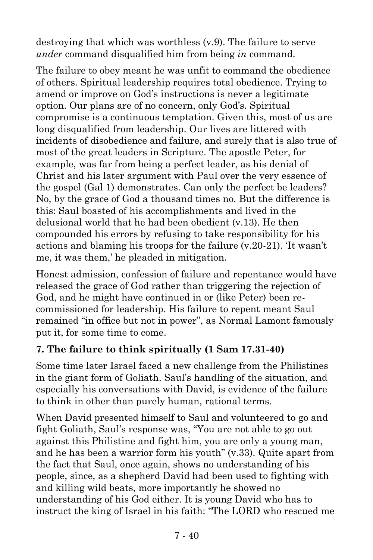destroying that which was worthless (v.9). The failure to serve *under* command disqualified him from being *in* command.

The failure to obey meant he was unfit to command the obedience of others. Spiritual leadership requires total obedience. Trying to amend or improve on God's instructions is never a legitimate option. Our plans are of no concern, only God's. Spiritual compromise is a continuous temptation. Given this, most of us are long disqualified from leadership. Our lives are littered with incidents of disobedience and failure, and surely that is also true of most of the great leaders in Scripture. The apostle Peter, for example, was far from being a perfect leader, as his denial of Christ and his later argument with Paul over the very essence of the gospel (Gal 1) demonstrates. Can only the perfect be leaders? No, by the grace of God a thousand times no. But the difference is this: Saul boasted of his accomplishments and lived in the delusional world that he had been obedient (v.13). He then compounded his errors by refusing to take responsibility for his actions and blaming his troops for the failure (v.20-21). 'It wasn't me, it was them,' he pleaded in mitigation.

Honest admission, confession of failure and repentance would have released the grace of God rather than triggering the rejection of God, and he might have continued in or (like Peter) been recommissioned for leadership. His failure to repent meant Saul remained "in office but not in power", as Normal Lamont famously put it, for some time to come.

### **7. The failure to think spiritually (1 Sam 17.31-40)**

Some time later Israel faced a new challenge from the Philistines in the giant form of Goliath. Saul's handling of the situation, and especially his conversations with David, is evidence of the failure to think in other than purely human, rational terms.

When David presented himself to Saul and volunteered to go and fight Goliath, Saul's response was, "You are not able to go out against this Philistine and fight him, you are only a young man, and he has been a warrior form his youth" (v.33). Quite apart from the fact that Saul, once again, shows no understanding of his people, since, as a shepherd David had been used to fighting with and killing wild beats, more importantly he showed no understanding of his God either. It is young David who has to instruct the king of Israel in his faith: "The LORD who rescued me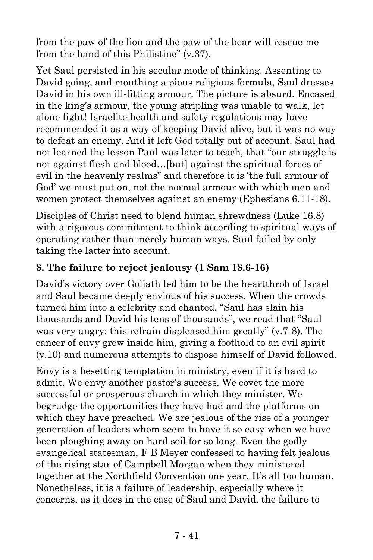from the paw of the lion and the paw of the bear will rescue me from the hand of this Philistine" (v.37).

Yet Saul persisted in his secular mode of thinking. Assenting to David going, and mouthing a pious religious formula, Saul dresses David in his own ill-fitting armour. The picture is absurd. Encased in the king's armour, the young stripling was unable to walk, let alone fight! Israelite health and safety regulations may have recommended it as a way of keeping David alive, but it was no way to defeat an enemy. And it left God totally out of account. Saul had not learned the lesson Paul was later to teach, that "our struggle is not against flesh and blood…[but] against the spiritual forces of evil in the heavenly realms" and therefore it is 'the full armour of God' we must put on, not the normal armour with which men and women protect themselves against an enemy (Ephesians 6.11-18).

Disciples of Christ need to blend human shrewdness (Luke 16.8) with a rigorous commitment to think according to spiritual ways of operating rather than merely human ways. Saul failed by only taking the latter into account.

#### **8. The failure to reject jealousy (1 Sam 18.6-16)**

David's victory over Goliath led him to be the heartthrob of Israel and Saul became deeply envious of his success. When the crowds turned him into a celebrity and chanted, "Saul has slain his thousands and David his tens of thousands", we read that "Saul was very angry: this refrain displeased him greatly" (v.7-8). The cancer of envy grew inside him, giving a foothold to an evil spirit (v.10) and numerous attempts to dispose himself of David followed.

Envy is a besetting temptation in ministry, even if it is hard to admit. We envy another pastor's success. We covet the more successful or prosperous church in which they minister. We begrudge the opportunities they have had and the platforms on which they have preached. We are jealous of the rise of a younger generation of leaders whom seem to have it so easy when we have been ploughing away on hard soil for so long. Even the godly evangelical statesman, F B Meyer confessed to having felt jealous of the rising star of Campbell Morgan when they ministered together at the Northfield Convention one year. It's all too human. Nonetheless, it is a failure of leadership, especially where it concerns, as it does in the case of Saul and David, the failure to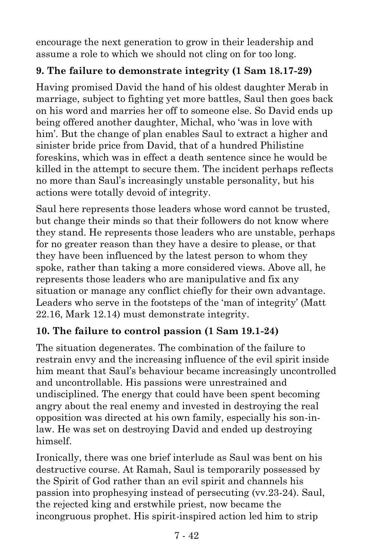encourage the next generation to grow in their leadership and assume a role to which we should not cling on for too long.

#### **9. The failure to demonstrate integrity (1 Sam 18.17-29)**

Having promised David the hand of his oldest daughter Merab in marriage, subject to fighting yet more battles, Saul then goes back on his word and marries her off to someone else. So David ends up being offered another daughter, Michal, who 'was in love with him'. But the change of plan enables Saul to extract a higher and sinister bride price from David, that of a hundred Philistine foreskins, which was in effect a death sentence since he would be killed in the attempt to secure them. The incident perhaps reflects no more than Saul's increasingly unstable personality, but his actions were totally devoid of integrity.

Saul here represents those leaders whose word cannot be trusted, but change their minds so that their followers do not know where they stand. He represents those leaders who are unstable, perhaps for no greater reason than they have a desire to please, or that they have been influenced by the latest person to whom they spoke, rather than taking a more considered views. Above all, he represents those leaders who are manipulative and fix any situation or manage any conflict chiefly for their own advantage. Leaders who serve in the footsteps of the 'man of integrity' (Matt 22.16, Mark 12.14) must demonstrate integrity.

### **10. The failure to control passion (1 Sam 19.1-24)**

The situation degenerates. The combination of the failure to restrain envy and the increasing influence of the evil spirit inside him meant that Saul's behaviour became increasingly uncontrolled and uncontrollable. His passions were unrestrained and undisciplined. The energy that could have been spent becoming angry about the real enemy and invested in destroying the real opposition was directed at his own family, especially his son-inlaw. He was set on destroying David and ended up destroying himself.

Ironically, there was one brief interlude as Saul was bent on his destructive course. At Ramah, Saul is temporarily possessed by the Spirit of God rather than an evil spirit and channels his passion into prophesying instead of persecuting (vv.23-24). Saul, the rejected king and erstwhile priest, now became the incongruous prophet. His spirit-inspired action led him to strip